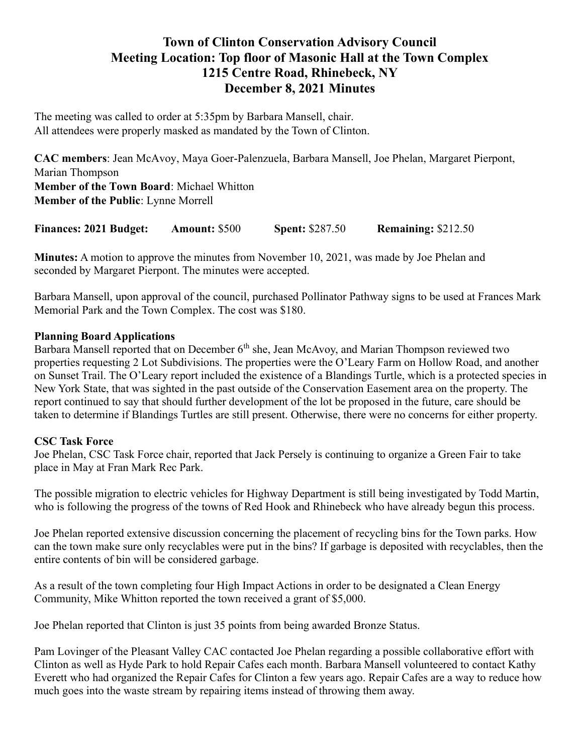# Town of Clinton Conservation Advisory Council Meeting Location: Top floor of Masonic Hall at the Town Complex 1215 Centre Road, Rhinebeck, NY December 8, 2021 Minutes

The meeting was called to order at 5:35pm by Barbara Mansell, chair. All attendees were properly masked as mandated by the Town of Clinton.

CAC members: Jean McAvoy, Maya Goer-Palenzuela, Barbara Mansell, Joe Phelan, Margaret Pierpont, Marian Thompson Member of the Town Board: Michael Whitton Member of the Public: Lynne Morrell

Finances: 2021 Budget: Amount: \$500 Spent: \$287.50 Remaining: \$212.50

Minutes: A motion to approve the minutes from November 10, 2021, was made by Joe Phelan and seconded by Margaret Pierpont. The minutes were accepted.

Barbara Mansell, upon approval of the council, purchased Pollinator Pathway signs to be used at Frances Mark Memorial Park and the Town Complex. The cost was \$180.

### Planning Board Applications

Barbara Mansell reported that on December  $6<sup>th</sup>$  she, Jean McAvoy, and Marian Thompson reviewed two properties requesting 2 Lot Subdivisions. The properties were the O'Leary Farm on Hollow Road, and another on Sunset Trail. The O'Leary report included the existence of a Blandings Turtle, which is a protected species in New York State, that was sighted in the past outside of the Conservation Easement area on the property. The report continued to say that should further development of the lot be proposed in the future, care should be taken to determine if Blandings Turtles are still present. Otherwise, there were no concerns for either property.

#### CSC Task Force

Joe Phelan, CSC Task Force chair, reported that Jack Persely is continuing to organize a Green Fair to take place in May at Fran Mark Rec Park.

The possible migration to electric vehicles for Highway Department is still being investigated by Todd Martin, who is following the progress of the towns of Red Hook and Rhinebeck who have already begun this process.

Joe Phelan reported extensive discussion concerning the placement of recycling bins for the Town parks. How can the town make sure only recyclables were put in the bins? If garbage is deposited with recyclables, then the entire contents of bin will be considered garbage.

As a result of the town completing four High Impact Actions in order to be designated a Clean Energy Community, Mike Whitton reported the town received a grant of \$5,000.

Joe Phelan reported that Clinton is just 35 points from being awarded Bronze Status.

Pam Lovinger of the Pleasant Valley CAC contacted Joe Phelan regarding a possible collaborative effort with Clinton as well as Hyde Park to hold Repair Cafes each month. Barbara Mansell volunteered to contact Kathy Everett who had organized the Repair Cafes for Clinton a few years ago. Repair Cafes are a way to reduce how much goes into the waste stream by repairing items instead of throwing them away.